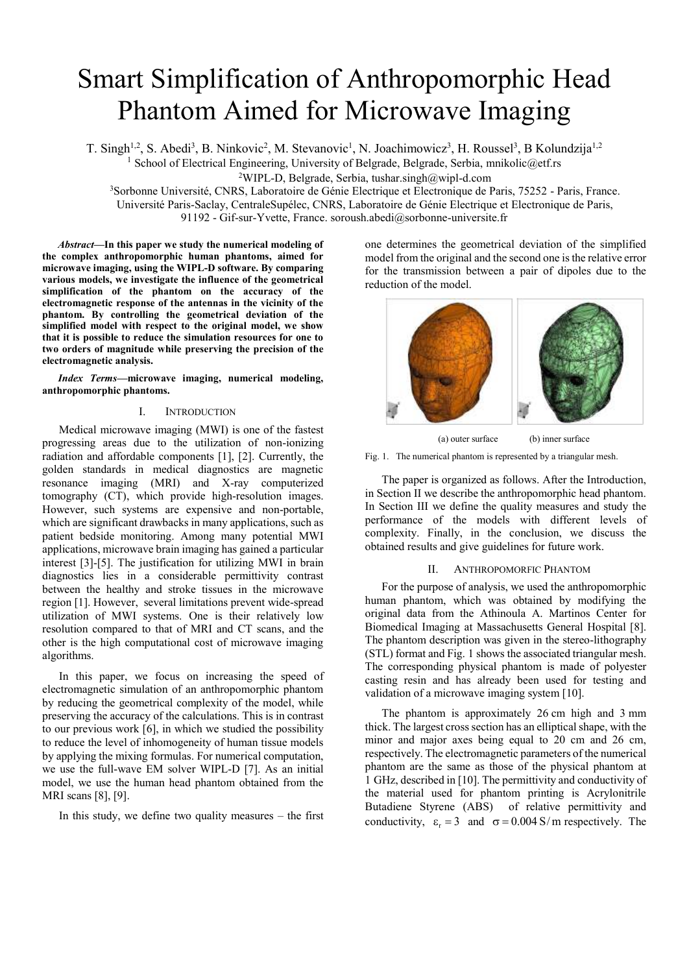# Smart Simplification of Anthropomorphic Head Phantom Aimed for Microwave Imaging

T. Singh<sup>1,2</sup>, S. Abedi<sup>3</sup>, B. Ninkovic<sup>2</sup>, M. Stevanovic<sup>1</sup>, N. Joachimowicz<sup>3</sup>, H. Roussel<sup>3</sup>, B Kolundzija<sup>1,2</sup>

<sup>1</sup> School of Electrical Engineering, University of Belgrade, Belgrade, Serbia, mnikolic@etf.rs

<sup>2</sup>WIPL-D, Belgrade, Serbia, tushar.singh@wipl-d.com

<sup>3</sup>Sorbonne Université, CNRS, Laboratoire de Génie Electrique et Electronique de Paris, 75252 - Paris, France.

Université Paris-Saclay, CentraleSupélec, CNRS, Laboratoire de Génie Electrique et Electronique de Paris,

91192 - Gif-sur-Yvette, France. soroush.abedi@sorbonne-universite.fr

*Abstract***—In this paper we study the numerical modeling of the complex anthropomorphic human phantoms, aimed for microwave imaging, using the WIPL-D software. By comparing various models, we investigate the influence of the geometrical simplification of the phantom on the accuracy of the electromagnetic response of the antennas in the vicinity of the phantom. By controlling the geometrical deviation of the simplified model with respect to the original model, we show that it is possible to reduce the simulation resources for one to two orders of magnitude while preserving the precision of the electromagnetic analysis.**

*Index Terms—***microwave imaging, numerical modeling, anthropomorphic phantoms.**

# I. INTRODUCTION

Medical microwave imaging (MWI) is one of the fastest progressing areas due to the utilization of non-ionizing radiation and affordable components [1], [2]. Currently, the golden standards in medical diagnostics are magnetic resonance imaging (MRI) and X-ray computerized tomography (CT), which provide high-resolution images. However, such systems are expensive and non-portable, which are significant drawbacks in many applications, such as patient bedside monitoring. Among many potential MWI applications, microwave brain imaging has gained a particular interest [3]-[5]. The justification for utilizing MWI in brain diagnostics lies in a considerable permittivity contrast between the healthy and stroke tissues in the microwave region [1]. However, several limitations prevent wide-spread utilization of MWI systems. One is their relatively low resolution compared to that of MRI and CT scans, and the other is the high computational cost of microwave imaging algorithms.

In this paper, we focus on increasing the speed of electromagnetic simulation of an anthropomorphic phantom by reducing the geometrical complexity of the model, while preserving the accuracy of the calculations. This is in contrast to our previous work [6], in which we studied the possibility to reduce the level of inhomogeneity of human tissue models by applying the mixing formulas. For numerical computation, we use the full-wave EM solver WIPL-D [7]. As an initial model, we use the human head phantom obtained from the MRI scans [8], [9].

In this study, we define two quality measures – the first

one determines the geometrical deviation of the simplified model from the original and the second one is the relative error for the transmission between a pair of dipoles due to the reduction of the model.



(a) outer surface (b) inner surface Fig. 1. The numerical phantom is represented by a triangular mesh.

The paper is organized as follows. After the Introduction, in Section II we describe the anthropomorphic head phantom. In Section III we define the quality measures and study the performance of the models with different levels of complexity. Finally, in the conclusion, we discuss the obtained results and give guidelines for future work.

# II. ANTHROPOMORFIC PHANTOM

For the purpose of analysis, we used the anthropomorphic human phantom, which was obtained by modifying the original data from the Athinoula A. Martinos Center for Biomedical Imaging at Massachusetts General Hospital [8]. The phantom description was given in the stereo-lithography (STL) format and Fig. 1 shows the associated triangular mesh. The corresponding physical phantom is made of polyester casting resin and has already been used for testing and validation of a microwave imaging system [10].

The phantom is approximately 26 cm high and 3 mm thick. The largest cross section has an elliptical shape, with the minor and major axes being equal to 20 cm and 26 cm, respectively. The electromagnetic parameters of the numerical phantom are the same as those of the physical phantom at 1 GHz, described in [10]. The permittivity and conductivity of the material used for phantom printing is Acrylonitrile Butadiene Styrene (ABS) of relative permittivity and conductivity,  $\varepsilon_r = 3$  and  $\sigma = 0.004$  S/m respectively. The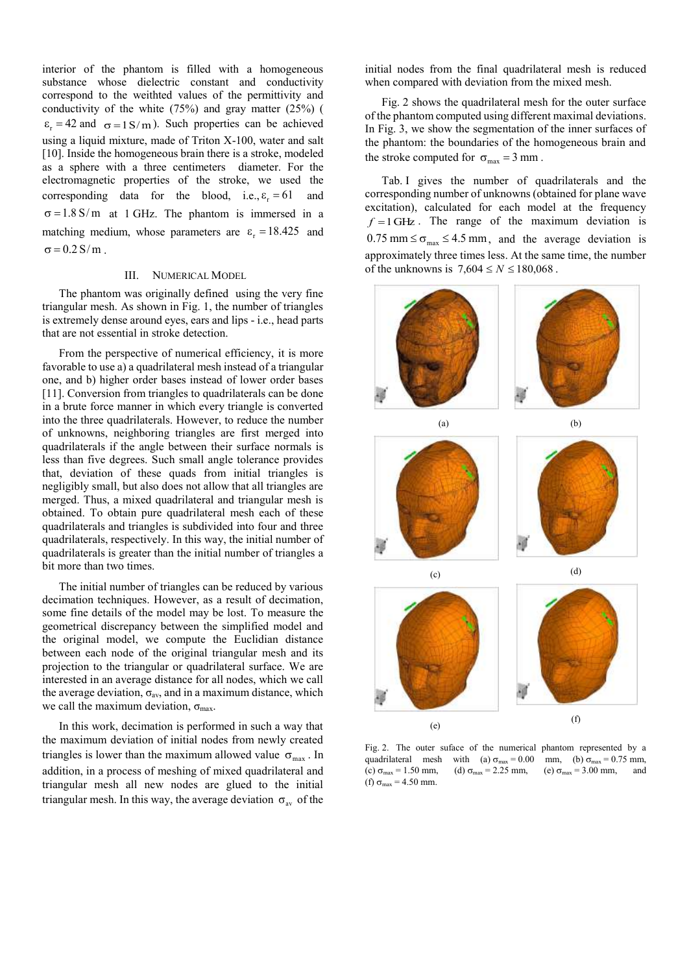interior of the phantom is filled with a homogeneous substance whose dielectric constant and conductivity correspond to the weithted values of the permittivity and conductivity of the white (75%) and gray matter (25%) (  $\varepsilon_r = 42$  and  $\sigma = 1 \text{ S/m}$ ). Such properties can be achieved using a liquid mixture, made of Triton X-100, water and salt [10]. Inside the homogeneous brain there is a stroke, modeled as a sphere with a three centimeters diameter. For the electromagnetic properties of the stroke, we used the corresponding data for the blood, i.e.,  $\varepsilon_r = 61$ and  $\sigma = 1.8$  S/m at 1 GHz. The phantom is immersed in a matching medium, whose parameters are  $\varepsilon_r = 18.425$  and  $\sigma = 0.2$  S/m.

## III. NUMERICAL MODEL

The phantom was originally defined using the very fine triangular mesh. As shown in Fig. 1, the number of triangles is extremely dense around eyes, ears and lips - i.e., head parts that are not essential in stroke detection.

From the perspective of numerical efficiency, it is more favorable to use a) a quadrilateral mesh instead of a triangular one, and b) higher order bases instead of lower order bases [11]. Conversion from triangles to quadrilaterals can be done in a brute force manner in which every triangle is converted into the three quadrilaterals. However, to reduce the number of unknowns, neighboring triangles are first merged into quadrilaterals if the angle between their surface normals is less than five degrees. Such small angle tolerance provides that, deviation of these quads from initial triangles is negligibly small, but also does not allow that all triangles are merged. Thus, a mixed quadrilateral and triangular mesh is obtained. To obtain pure quadrilateral mesh each of these quadrilaterals and triangles is subdivided into four and three quadrilaterals, respectively. In this way, the initial number of quadrilaterals is greater than the initial number of triangles a bit more than two times.

The initial number of triangles can be reduced by various decimation techniques. However, as a result of decimation, some fine details of the model may be lost. To measure the geometrical discrepancy between the simplified model and the original model, we compute the Euclidian distance between each node of the original triangular mesh and its projection to the triangular or quadrilateral surface. We are interested in an average distance for all nodes, which we call the average deviation,  $\sigma_{av}$ , and in a maximum distance, which we call the maximum deviation,  $\sigma_{\text{max}}$ .

In this work, decimation is performed in such a way that the maximum deviation of initial nodes from newly created triangles is lower than the maximum allowed value  $\sigma_{\text{max}}$ . In addition, in a process of meshing of mixed quadrilateral and triangular mesh all new nodes are glued to the initial triangular mesh. In this way, the average deviation  $\sigma_{av}$  of the initial nodes from the final quadrilateral mesh is reduced when compared with deviation from the mixed mesh.

Fig. 2 shows the quadrilateral mesh for the outer surface of the phantom computed using different maximal deviations. In Fig. 3, we show the segmentation of the inner surfaces of the phantom: the boundaries of the homogeneous brain and the stroke computed for  $\sigma_{\text{max}} = 3 \text{ mm}$ .

Tab. I gives the number of quadrilaterals and the corresponding number of unknowns (obtained for plane wave excitation), calculated for each model at the frequency  $f = 1$  GHz. The range of the maximum deviation is  $0.75$  mm  $\leq \sigma_{\text{max}} \leq 4.5$  mm, and the average deviation is approximately three times less. At the same time, the number of the unknowns is  $7,604 \le N \le 180,068$ .



Fig. 2. The outer suface of the numerical phantom represented by a quadrilateral mesh with (a)  $\sigma_{\text{max}} = 0.00$  mm, (b)  $\sigma_{\text{max}} = 0.75$  mm, (c)  $\sigma_{\text{max}} = 1.50 \text{ mm}$ , (d)  $\sigma_{\text{max}} = 2.25 \text{ mm}$ , (e)  $\sigma_{\text{max}} = 3.00 \text{ mm}$ , and (f)  $\sigma_{\text{max}} = 4.50 \text{ mm}$ .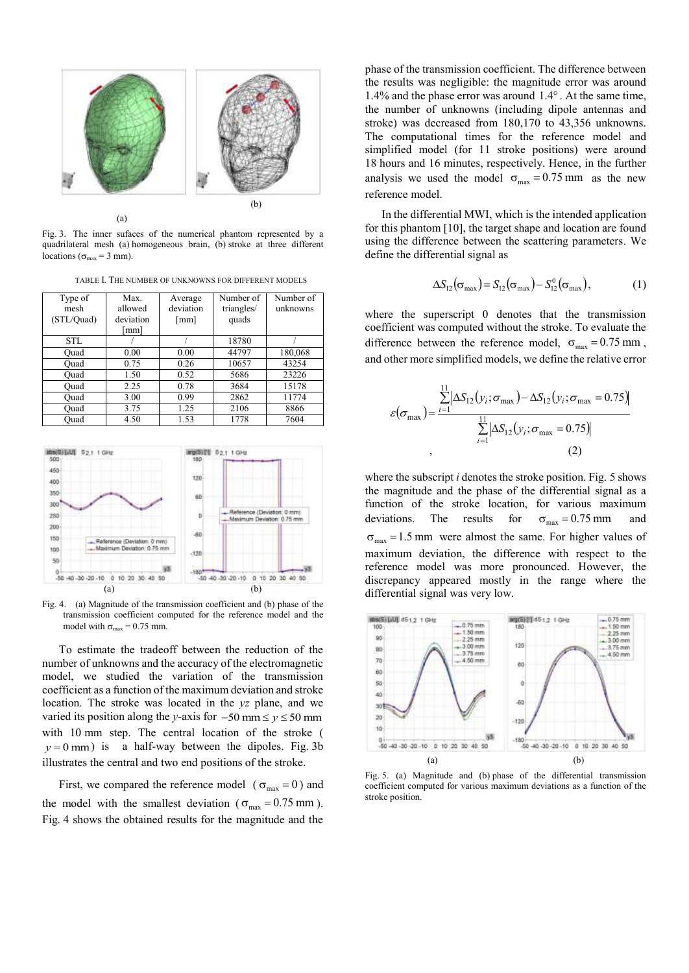

Fig. 3. The inner sufaces of the numerical phantom represented by a quadrilateral mesh (a) homogeneous brain, (b) stroke at three different locations ( $\sigma_{\text{max}} = 3 \text{ mm}$ ).

TABLE I. THE NUMBER OF UNKNOWNS FOR DIFFERENT MODELS

| Type of    | Max.                 | Average   | Number of  | Number of |  |
|------------|----------------------|-----------|------------|-----------|--|
| mesh       | allowed              | deviation | triangles/ | unknowns  |  |
| (STL/Quad) | deviation            | [mm]      | quads      |           |  |
|            | $\lceil$ mm $\rceil$ |           |            |           |  |
| STL.       |                      |           | 18780      |           |  |
| Ouad       | 0.00                 | 0.00      | 44797      | 180,068   |  |
| Ouad       | 0.75                 | 0.26      | 10657      | 43254     |  |
| Ouad       | 1.50                 | 0.52      | 5686       | 23226     |  |
| Ouad       | 2.25                 | 0.78      | 3684       | 15178     |  |
| Ouad       | 3.00                 | 0.99      | 2862       | 11774     |  |
| Ouad       | 3.75                 | 1.25      | 2106       | 8866      |  |
| Ouad       | 4.50                 | 1.53      | 1778       | 7604      |  |



Fig. 4. (a) Magnitude of the transmission coefficient and (b) phase of the transmission coefficient computed for the reference model and the model with  $\sigma_{\text{max}} = 0.75$  mm.

To estimate the tradeoff between the reduction of the number of unknowns and the accuracy of the electromagnetic model, we studied the variation of the transmission coefficient as a function of the maximum deviation and stroke location. The stroke was located in the *yz* plane, and we varied its position along the *y*-axis for  $-50$  mm  $\le y \le 50$  mm with 10 mm step. The central location of the stroke (  $y = 0$  mm) is a half-way between the dipoles. Fig. 3b illustrates the central and two end positions of the stroke.

First, we compared the reference model ( $\sigma_{\text{max}} = 0$ ) and the model with the smallest deviation ( $\sigma_{\text{max}} = 0.75 \text{ mm}$ ). Fig. 4 shows the obtained results for the magnitude and the

phase of the transmission coefficient. The difference between the results was negligible: the magnitude error was around 1.4% and the phase error was around  $1.4^\circ$ . At the same time, the number of unknowns (including dipole antennas and stroke) was decreased from 180,170 to 43,356 unknowns. The computational times for the reference model and simplified model (for 11 stroke positions) were around 18 hours and 16 minutes, respectively. Hence, in the further analysis we used the model  $\sigma_{\text{max}} = 0.75 \text{ mm}$  as the new reference model.

In the differential MWI, which is the intended application for this phantom [10], the target shape and location are found using the difference between the scattering parameters. We define the differential signal as

$$
\Delta S_{12}(\sigma_{\text{max}}) = S_{12}(\sigma_{\text{max}}) - S_{12}^{0}(\sigma_{\text{max}}),
$$
 (1)

where the superscript 0 denotes that the transmission coefficient was computed without the stroke. To evaluate the difference between the reference model,  $\sigma_{\text{max}} = 0.75 \text{ mm}$ , and other more simplified models, we define the relative error

$$
\varepsilon(\sigma_{\max}) = \frac{\sum_{i=1}^{11} |\Delta S_{12}(y_i; \sigma_{\max}) - \Delta S_{12}(y_i; \sigma_{\max} = 0.75))}{\sum_{i=1}^{11} |\Delta S_{12}(y_i; \sigma_{\max} = 0.75)|},
$$
\n(2)

where the subscript *i* denotes the stroke position. Fig. 5 shows the magnitude and the phase of the differential signal as a function of the stroke location, for various maximum deviations. The results for  $\sigma_{\text{max}} = 0.75$  mm and  $\sigma_{\text{max}} = 1.5 \text{ mm}$  were almost the same. For higher values of maximum deviation, the difference with respect to the reference model was more pronounced. However, the discrepancy appeared mostly in the range where the differential signal was very low.



Fig. 5. (a) Magnitude and (b) phase of the differential transmission coefficient computed for various maximum deviations as a function of the stroke position.